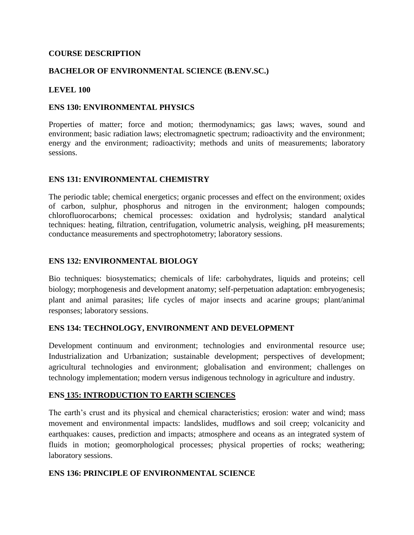### **COURSE DESCRIPTION**

### **BACHELOR OF ENVIRONMENTAL SCIENCE (B.ENV.SC.)**

#### **LEVEL 100**

#### **ENS 130: ENVIRONMENTAL PHYSICS**

Properties of matter; force and motion; thermodynamics; gas laws; waves, sound and environment; basic radiation laws; electromagnetic spectrum; radioactivity and the environment; energy and the environment; radioactivity; methods and units of measurements; laboratory sessions.

#### **ENS 131: ENVIRONMENTAL CHEMISTRY**

The periodic table; chemical energetics; organic processes and effect on the environment; oxides of carbon, sulphur, phosphorus and nitrogen in the environment; halogen compounds; chlorofluorocarbons; chemical processes: oxidation and hydrolysis; standard analytical techniques: heating, filtration, centrifugation, volumetric analysis, weighing, pH measurements; conductance measurements and spectrophotometry; laboratory sessions.

#### **ENS 132: ENVIRONMENTAL BIOLOGY**

Bio techniques: biosystematics; chemicals of life: carbohydrates, liquids and proteins; cell biology; morphogenesis and development anatomy; self-perpetuation adaptation: embryogenesis; plant and animal parasites; life cycles of major insects and acarine groups; plant/animal responses; laboratory sessions.

#### **ENS 134: TECHNOLOGY, ENVIRONMENT AND DEVELOPMENT**

Development continuum and environment; technologies and environmental resource use; Industrialization and Urbanization; sustainable development; perspectives of development; agricultural technologies and environment; globalisation and environment; challenges on technology implementation; modern versus indigenous technology in agriculture and industry.

#### **ENS 135: INTRODUCTION TO EARTH SCIENCES**

The earth's crust and its physical and chemical characteristics; erosion: water and wind; mass movement and environmental impacts: landslides, mudflows and soil creep; volcanicity and earthquakes: causes, prediction and impacts; atmosphere and oceans as an integrated system of fluids in motion; geomorphological processes; physical properties of rocks; weathering; laboratory sessions.

#### **ENS 136: PRINCIPLE OF ENVIRONMENTAL SCIENCE**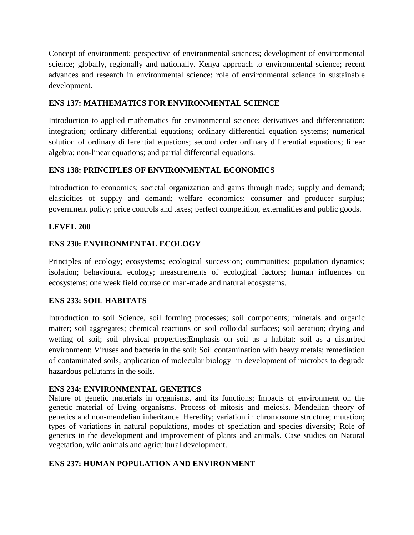Concept of environment; perspective of environmental sciences; development of environmental science; globally, regionally and nationally. Kenya approach to environmental science; recent advances and research in environmental science; role of environmental science in sustainable development.

## **ENS 137: MATHEMATICS FOR ENVIRONMENTAL SCIENCE**

Introduction to applied mathematics for environmental science; derivatives and differentiation; integration; ordinary differential equations; ordinary differential equation systems; numerical solution of ordinary differential equations; second order ordinary differential equations; linear algebra; non-linear equations; and partial differential equations.

# **ENS 138: PRINCIPLES OF ENVIRONMENTAL ECONOMICS**

Introduction to economics; societal organization and gains through trade; supply and demand; elasticities of supply and demand; welfare economics: consumer and producer surplus; government policy: price controls and taxes; perfect competition, externalities and public goods.

## **LEVEL 200**

## **ENS 230: ENVIRONMENTAL ECOLOGY**

Principles of ecology; ecosystems; ecological succession; communities; population dynamics; isolation; behavioural ecology; measurements of ecological factors; human influences on ecosystems; one week field course on man-made and natural ecosystems.

## **ENS 233: SOIL HABITATS**

Introduction to soil Science, soil forming processes; soil components; minerals and organic matter; soil aggregates; chemical reactions on soil colloidal surfaces; soil aeration; drying and wetting of soil; soil physical properties;Emphasis on soil as a habitat: soil as a disturbed environment; Viruses and bacteria in the soil; Soil contamination with heavy metals; remediation of contaminated soils; application of molecular biology in development of microbes to degrade hazardous pollutants in the soils.

## **ENS 234: ENVIRONMENTAL GENETICS**

Nature of genetic materials in organisms, and its functions; Impacts of environment on the genetic material of living organisms. Process of mitosis and meiosis. Mendelian theory of genetics and non-mendelian inheritance. Heredity; variation in chromosome structure; mutation; types of variations in natural populations, modes of speciation and species diversity; Role of genetics in the development and improvement of plants and animals. Case studies on Natural vegetation, wild animals and agricultural development.

# **ENS 237: HUMAN POPULATION AND ENVIRONMENT**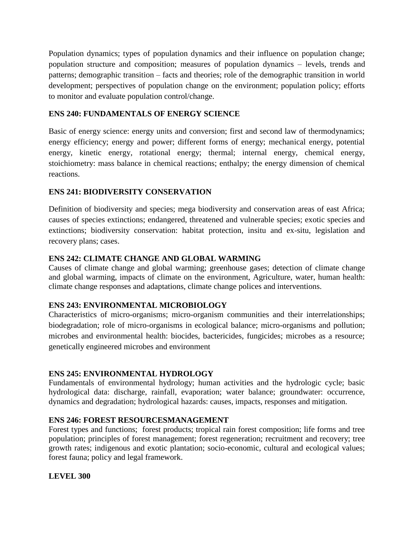Population dynamics; types of population dynamics and their influence on population change; population structure and composition; measures of population dynamics – levels, trends and patterns; demographic transition – facts and theories; role of the demographic transition in world development; perspectives of population change on the environment; population policy; efforts to monitor and evaluate population control/change.

### **ENS 240: FUNDAMENTALS OF ENERGY SCIENCE**

Basic of energy science: energy units and conversion; first and second law of thermodynamics; energy efficiency; energy and power; different forms of energy; mechanical energy, potential energy, kinetic energy, rotational energy; thermal; internal energy, chemical energy, stoichiometry: mass balance in chemical reactions; enthalpy; the energy dimension of chemical reactions.

### **ENS 241: BIODIVERSITY CONSERVATION**

Definition of biodiversity and species; mega biodiversity and conservation areas of east Africa; causes of species extinctions; endangered, threatened and vulnerable species; exotic species and extinctions; biodiversity conservation: habitat protection, insitu and ex-situ, legislation and recovery plans; cases.

### **ENS 242: CLIMATE CHANGE AND GLOBAL WARMING**

Causes of climate change and global warming; greenhouse gases; detection of climate change and global warming, impacts of climate on the environment, Agriculture, water, human health: climate change responses and adaptations, climate change polices and interventions.

#### **ENS 243: ENVIRONMENTAL MICROBIOLOGY**

Characteristics of micro-organisms; micro-organism communities and their interrelationships; biodegradation; role of micro-organisms in ecological balance; micro-organisms and pollution; microbes and environmental health: biocides, bactericides, fungicides; microbes as a resource; genetically engineered microbes and environment

## **ENS 245: ENVIRONMENTAL HYDROLOGY**

Fundamentals of environmental hydrology; human activities and the hydrologic cycle; basic hydrological data: discharge, rainfall, evaporation; water balance; groundwater: occurrence, dynamics and degradation; hydrological hazards: causes, impacts, responses and mitigation.

## **ENS 246: FOREST RESOURCESMANAGEMENT**

Forest types and functions; forest products; tropical rain forest composition; life forms and tree population; principles of forest management; forest regeneration; recruitment and recovery; tree growth rates; indigenous and exotic plantation; socio-economic, cultural and ecological values; forest fauna; policy and legal framework.

#### **LEVEL 300**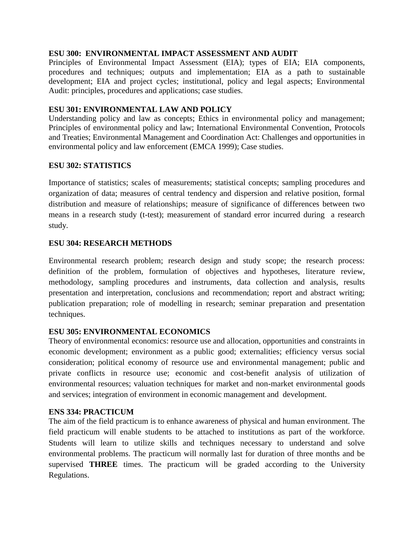### **ESU 300: ENVIRONMENTAL IMPACT ASSESSMENT AND AUDIT**

Principles of Environmental Impact Assessment (EIA); types of EIA; EIA components, procedures and techniques; outputs and implementation; EIA as a path to sustainable development; EIA and project cycles; institutional, policy and legal aspects; Environmental Audit: principles, procedures and applications; case studies.

### **ESU 301: ENVIRONMENTAL LAW AND POLICY**

Understanding policy and law as concepts; Ethics in environmental policy and management; Principles of environmental policy and law; International Environmental Convention, Protocols and Treaties; Environmental Management and Coordination Act: Challenges and opportunities in environmental policy and law enforcement (EMCA 1999); Case studies.

### **ESU 302: STATISTICS**

Importance of statistics; scales of measurements; statistical concepts; sampling procedures and organization of data; measures of central tendency and dispersion and relative position, formal distribution and measure of relationships; measure of significance of differences between two means in a research study (t-test); measurement of standard error incurred during a research study.

### **ESU 304: RESEARCH METHODS**

Environmental research problem; research design and study scope; the research process: definition of the problem, formulation of objectives and hypotheses, literature review, methodology, sampling procedures and instruments, data collection and analysis, results presentation and interpretation, conclusions and recommendation; report and abstract writing; publication preparation; role of modelling in research; seminar preparation and presentation techniques.

#### **ESU 305: ENVIRONMENTAL ECONOMICS**

Theory of environmental economics: resource use and allocation, opportunities and constraints in economic development; environment as a public good; externalities; efficiency versus social consideration; political economy of resource use and environmental management; public and private conflicts in resource use; economic and cost-benefit analysis of utilization of environmental resources; valuation techniques for market and non-market environmental goods and services; integration of environment in economic management and development.

#### **ENS 334: PRACTICUM**

The aim of the field practicum is to enhance awareness of physical and human environment. The field practicum will enable students to be attached to institutions as part of the workforce. Students will learn to utilize skills and techniques necessary to understand and solve environmental problems. The practicum will normally last for duration of three months and be supervised **THREE** times. The practicum will be graded according to the University Regulations.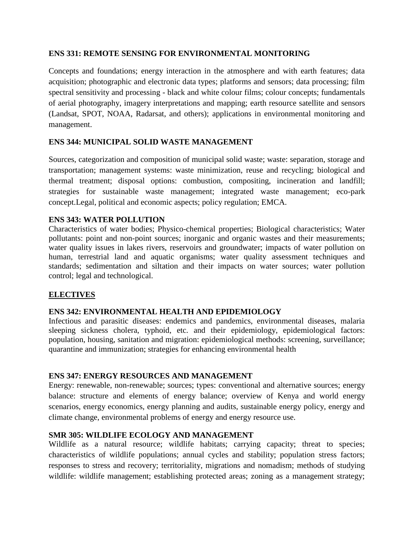### **ENS 331: REMOTE SENSING FOR ENVIRONMENTAL MONITORING**

Concepts and foundations; energy interaction in the atmosphere and with earth features; data acquisition; photographic and electronic data types; platforms and sensors; data processing; film spectral sensitivity and processing - black and white colour films; colour concepts; fundamentals of aerial photography, imagery interpretations and mapping; earth resource satellite and sensors (Landsat, SPOT, NOAA, Radarsat, and others); applications in environmental monitoring and management.

### **ENS 344: MUNICIPAL SOLID WASTE MANAGEMENT**

Sources, categorization and composition of municipal solid waste; waste: separation, storage and transportation; management systems: waste minimization, reuse and recycling; biological and thermal treatment; disposal options: combustion, compositing, incineration and landfill; strategies for sustainable waste management; integrated waste management; eco-park concept.Legal, political and economic aspects; policy regulation; EMCA.

### **ENS 343: WATER POLLUTION**

Characteristics of water bodies; Physico-chemical properties; Biological characteristics; Water pollutants: point and non-point sources; inorganic and organic wastes and their measurements; water quality issues in lakes rivers, reservoirs and groundwater; impacts of water pollution on human, terrestrial land and aquatic organisms; water quality assessment techniques and standards; sedimentation and siltation and their impacts on water sources; water pollution control; legal and technological.

## **ELECTIVES**

## **ENS 342: ENVIRONMENTAL HEALTH AND EPIDEMIOLOGY**

Infectious and parasitic diseases: endemics and pandemics, environmental diseases, malaria sleeping sickness cholera, typhoid, etc. and their epidemiology, epidemiological factors: population, housing, sanitation and migration: epidemiological methods: screening, surveillance; quarantine and immunization; strategies for enhancing environmental health

#### **ENS 347: ENERGY RESOURCES AND MANAGEMENT**

Energy: renewable, non-renewable; sources; types: conventional and alternative sources; energy balance: structure and elements of energy balance; overview of Kenya and world energy scenarios, energy economics, energy planning and audits, sustainable energy policy, energy and climate change, environmental problems of energy and energy resource use.

## **SMR 305: WILDLIFE ECOLOGY AND MANAGEMENT**

Wildlife as a natural resource; wildlife habitats; carrying capacity; threat to species; characteristics of wildlife populations; annual cycles and stability; population stress factors; responses to stress and recovery; territoriality, migrations and nomadism; methods of studying wildlife: wildlife management; establishing protected areas; zoning as a management strategy;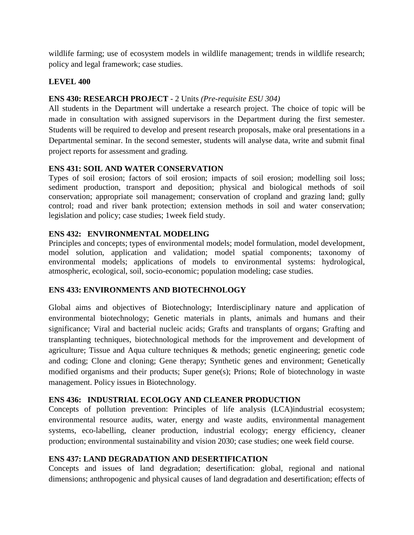wildlife farming; use of ecosystem models in wildlife management; trends in wildlife research; policy and legal framework; case studies.

## **LEVEL 400**

## **ENS 430: RESEARCH PROJECT** *-* 2 Units *(Pre-requisite ESU 304)*

All students in the Department will undertake a research project. The choice of topic will be made in consultation with assigned supervisors in the Department during the first semester. Students will be required to develop and present research proposals, make oral presentations in a Departmental seminar. In the second semester, students will analyse data, write and submit final project reports for assessment and grading.

## **ENS 431: SOIL AND WATER CONSERVATION**

Types of soil erosion; factors of soil erosion; impacts of soil erosion; modelling soil loss; sediment production, transport and deposition; physical and biological methods of soil conservation; appropriate soil management; conservation of cropland and grazing land; gully control; road and river bank protection; extension methods in soil and water conservation; legislation and policy; case studies; 1week field study.

## **ENS 432: ENVIRONMENTAL MODELING**

Principles and concepts; types of environmental models; model formulation, model development, model solution, application and validation; model spatial components; taxonomy of environmental models; applications of models to environmental systems: hydrological, atmospheric, ecological, soil, socio-economic; population modeling; case studies.

# **ENS 433: ENVIRONMENTS AND BIOTECHNOLOGY**

Global aims and objectives of Biotechnology; Interdisciplinary nature and application of environmental biotechnology; Genetic materials in plants, animals and humans and their significance; Viral and bacterial nucleic acids; Grafts and transplants of organs; Grafting and transplanting techniques, biotechnological methods for the improvement and development of agriculture; Tissue and Aqua culture techniques & methods; genetic engineering; genetic code and coding; Clone and cloning; Gene therapy; Synthetic genes and environment; Genetically modified organisms and their products; Super gene(s); Prions; Role of biotechnology in waste management. Policy issues in Biotechnology.

## **ENS 436: INDUSTRIAL ECOLOGY AND CLEANER PRODUCTION**

Concepts of pollution prevention: Principles of life analysis (LCA)industrial ecosystem; environmental resource audits, water, energy and waste audits, environmental management systems, eco-labelling, cleaner production, industrial ecology; energy efficiency, cleaner production; environmental sustainability and vision 2030; case studies; one week field course.

# **ENS 437: LAND DEGRADATION AND DESERTIFICATION**

Concepts and issues of land degradation; desertification: global, regional and national dimensions; anthropogenic and physical causes of land degradation and desertification; effects of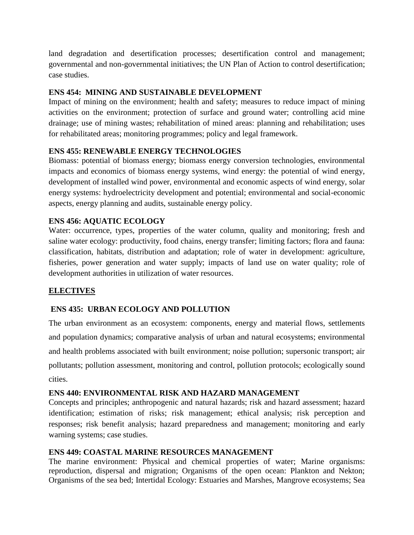land degradation and desertification processes; desertification control and management; governmental and non-governmental initiatives; the UN Plan of Action to control desertification; case studies.

## **ENS 454: MINING AND SUSTAINABLE DEVELOPMENT**

Impact of mining on the environment; health and safety; measures to reduce impact of mining activities on the environment; protection of surface and ground water; controlling acid mine drainage; use of mining wastes; rehabilitation of mined areas: planning and rehabilitation; uses for rehabilitated areas; monitoring programmes; policy and legal framework.

### **ENS 455: RENEWABLE ENERGY TECHNOLOGIES**

Biomass: potential of biomass energy; biomass energy conversion technologies, environmental impacts and economics of biomass energy systems, wind energy: the potential of wind energy, development of installed wind power, environmental and economic aspects of wind energy, solar energy systems: hydroelectricity development and potential; environmental and social-economic aspects, energy planning and audits, sustainable energy policy.

### **ENS 456: AQUATIC ECOLOGY**

Water: occurrence, types, properties of the water column, quality and monitoring; fresh and saline water ecology: productivity, food chains, energy transfer; limiting factors; flora and fauna: classification, habitats, distribution and adaptation; role of water in development: agriculture, fisheries, power generation and water supply; impacts of land use on water quality; role of development authorities in utilization of water resources.

## **ELECTIVES**

## **ENS 435: URBAN ECOLOGY AND POLLUTION**

The urban environment as an ecosystem: components, energy and material flows, settlements and population dynamics; comparative analysis of urban and natural ecosystems; environmental and health problems associated with built environment; noise pollution; supersonic transport; air pollutants; pollution assessment, monitoring and control, pollution protocols; ecologically sound cities.

#### **ENS 440: ENVIRONMENTAL RISK AND HAZARD MANAGEMENT**

Concepts and principles; anthropogenic and natural hazards; risk and hazard assessment; hazard identification; estimation of risks; risk management; ethical analysis; risk perception and responses; risk benefit analysis; hazard preparedness and management; monitoring and early warning systems; case studies.

#### **ENS 449: COASTAL MARINE RESOURCES MANAGEMENT**

The marine environment: Physical and chemical properties of water; Marine organisms: reproduction, dispersal and migration; Organisms of the open ocean: Plankton and Nekton; Organisms of the sea bed; Intertidal Ecology: Estuaries and Marshes, Mangrove ecosystems; Sea